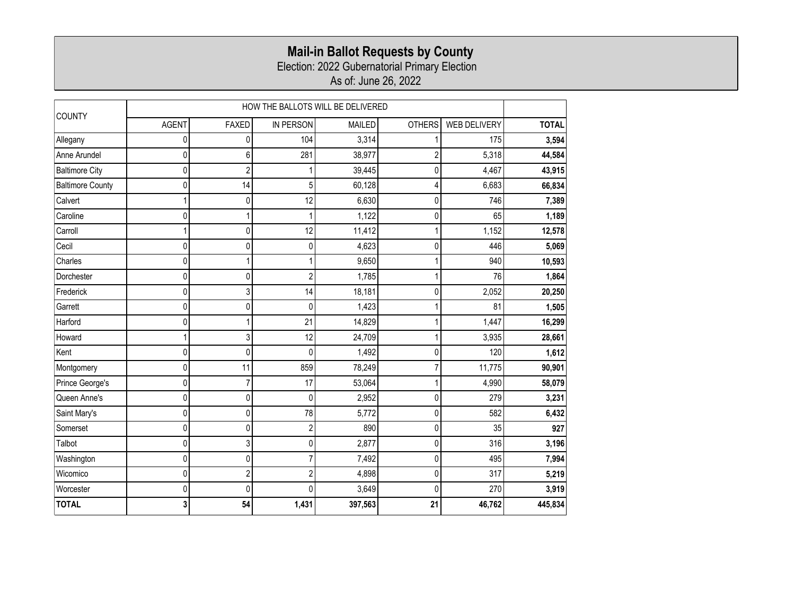## **Mail-in Ballot Requests by County**

Election: 2022 Gubernatorial Primary Election

As of: June 26, 2022

| <b>COUNTY</b>           | HOW THE BALLOTS WILL BE DELIVERED |                         |                  |               |               |                     |              |
|-------------------------|-----------------------------------|-------------------------|------------------|---------------|---------------|---------------------|--------------|
|                         | <b>AGENT</b>                      | <b>FAXED</b>            | <b>IN PERSON</b> | <b>MAILED</b> | <b>OTHERS</b> | <b>WEB DELIVERY</b> | <b>TOTAL</b> |
| Allegany                | 0                                 | 0                       | 104              | 3,314         |               | 175                 | 3,594        |
| Anne Arundel            | 0                                 | 6                       | 281              | 38,977        | 2             | 5,318               | 44,584       |
| <b>Baltimore City</b>   | 0                                 | $\overline{\mathbf{c}}$ |                  | 39,445        | 0             | 4,467               | 43,915       |
| <b>Baltimore County</b> | 0                                 | 14                      | 5                | 60,128        | 4             | 6,683               | 66,834       |
| Calvert                 |                                   | $\pmb{0}$               | 12               | 6,630         | 0             | 746                 | 7,389        |
| Caroline                | Λ                                 | 1                       |                  | 1,122         | 0             | 65                  | 1,189        |
| Carroll                 |                                   | 0                       | 12               | 11,412        |               | 1,152               | 12,578       |
| Cecil                   | 0                                 | 0                       | 0                | 4,623         | 0             | 446                 | 5,069        |
| Charles                 | 0                                 | 1                       |                  | 9,650         |               | 940                 | 10,593       |
| Dorchester              | 0                                 | 0                       | $\overline{2}$   | 1,785         |               | 76                  | 1,864        |
| Frederick               | 0                                 | 3                       | 14               | 18,181        | 0             | 2,052               | 20,250       |
| Garrett                 | 0                                 | 0                       | 0                | 1,423         |               | 81                  | 1,505        |
| Harford                 | 0                                 | 1                       | 21               | 14,829        |               | 1,447               | 16,299       |
| Howard                  |                                   | 3                       | 12               | 24,709        |               | 3,935               | 28,661       |
| Kent                    | 0                                 | 0                       | $\Omega$         | 1,492         | 0             | 120                 | 1,612        |
| Montgomery              | 0                                 | 11                      | 859              | 78,249        | 7             | 11,775              | 90,901       |
| Prince George's         | 0                                 | $\overline{7}$          | 17               | 53,064        |               | 4,990               | 58,079       |
| Queen Anne's            | 0                                 | $\pmb{0}$               | $\mathbf 0$      | 2,952         | 0             | 279                 | 3,231        |
| Saint Mary's            | 0                                 | 0                       | 78               | 5,772         | 0             | 582                 | 6,432        |
| Somerset                | 0                                 | 0                       | $\overline{2}$   | 890           | 0             | 35                  | 927          |
| Talbot                  | 0                                 | 3                       | $\mathbf{0}$     | 2,877         | 0             | 316                 | 3,196        |
| Washington              | 0                                 | 0                       | 7                | 7,492         | 0             | 495                 | 7,994        |
| Wicomico                | 0                                 | $\boldsymbol{2}$        | $\overline{2}$   | 4,898         | 0             | 317                 | 5,219        |
| Worcester               | 0                                 | 0                       | <sup>0</sup>     | 3,649         | 0             | 270                 | 3,919        |
| <b>TOTAL</b>            |                                   | 54                      | 1,431            | 397,563       | 21            | 46,762              | 445,834      |
|                         |                                   |                         |                  |               |               |                     |              |